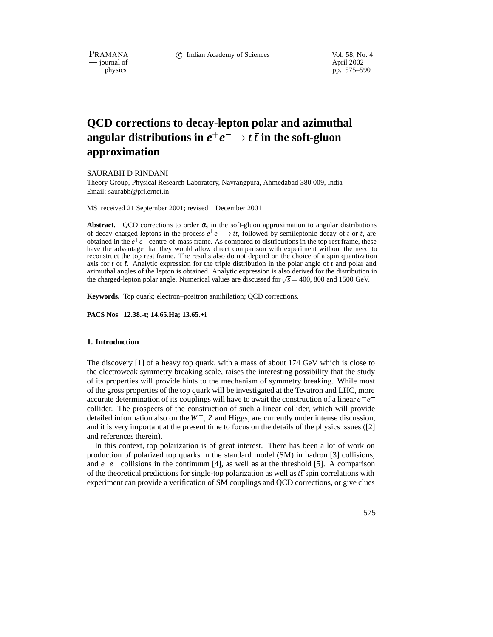PRAMANA c Indian Academy of Sciences Vol. 58, No. 4

 $-$  journal of physics

pp. 575–590

# **QCD corrections to decay-lepton polar and azimuthal**  $\mathbf{a}$  angular distributions in  $e^+e^-\to t\,\bar{t}$  in the soft-gluon **approximation**

SAURABH D RINDANI

Theory Group, Physical Research Laboratory, Navrangpura, Ahmedabad 380 009, India Email: saurabh@prl.ernet.in

MS received 21 September 2001; revised 1 December 2001

**Abstract.** QCD corrections to order  $\alpha_s$  in the soft-gluon approximation to angular distributions of decay charged leptons in the process  $e^+e^- \rightarrow t\bar{t}$ , followed by semileptonic decay of *t* or  $\bar{t}$ , are obtained in the  $e^+e^-$  centre-of-mass frame. As compared to distributions in the top rest frame, these have the advantage that they would allow direct comparison with experiment without the need to reconstruct the top rest frame. The results also do not depend on the choice of a spin quantization axis for *t* or *t*. Analytic expression for the triple distribution in the polar angle of *t* and polar and azimuthal angles of the lepton is obtained. Analytic expression is also derived for the distribution in the charged-lepton polar angle. Numerical values are discussed for  $\sqrt{s} = 400$ , 800 and 1500 GeV.

**Keywords.** Top quark; electron–positron annihilation; QCD corrections.

**PACS Nos 12.38.-t; 14.65.Ha; 13.65.+i**

## **1. Introduction**

The discovery [1] of a heavy top quark, with a mass of about 174 GeV which is close to the electroweak symmetry breaking scale, raises the interesting possibility that the study of its properties will provide hints to the mechanism of symmetry breaking. While most of the gross properties of the top quark will be investigated at the Tevatron and LHC, more accurate determination of its couplings will have to await the construction of a linear  $e^+e^$ collider. The prospects of the construction of such a linear collider, which will provide detailed information also on the  $W^{\pm}$ , Z and Higgs, are currently under intense discussion, and it is very important at the present time to focus on the details of the physics issues ([2] and references therein).

In this context, top polarization is of great interest. There has been a lot of work on production of polarized top quarks in the standard model (SM) in hadron [3] collisions, and  $e^+e^-$  collisions in the continuum [4], as well as at the threshold [5]. A comparison of the theoretical predictions for single-top polarization as well as*tt* spin correlations with experiment can provide a verification of SM couplings and QCD corrections, or give clues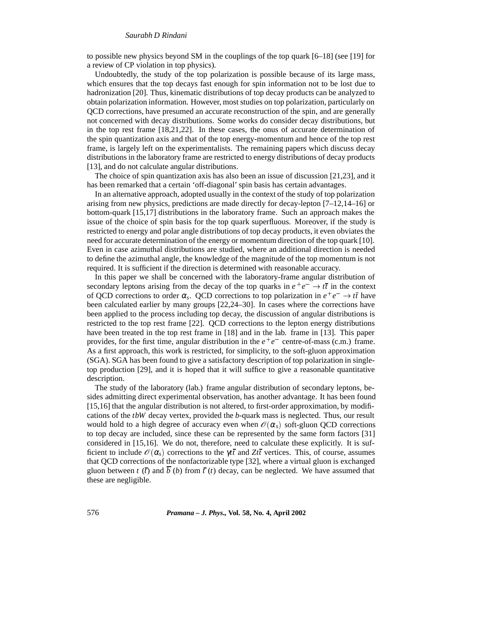to possible new physics beyond SM in the couplings of the top quark [6–18] (see [19] for a review of CP violation in top physics).

Undoubtedly, the study of the top polarization is possible because of its large mass, which ensures that the top decays fast enough for spin information not to be lost due to hadronization [20]. Thus, kinematic distributions of top decay products can be analyzed to obtain polarization information. However, most studies on top polarization, particularly on QCD corrections, have presumed an accurate reconstruction of the spin, and are generally not concerned with decay distributions. Some works do consider decay distributions, but in the top rest frame [18,21,22]. In these cases, the onus of accurate determination of the spin quantization axis and that of the top energy-momentum and hence of the top rest frame, is largely left on the experimentalists. The remaining papers which discuss decay distributions in the laboratory frame are restricted to energy distributions of decay products [13], and do not calculate angular distributions.

The choice of spin quantization axis has also been an issue of discussion [21,23], and it has been remarked that a certain 'off-diagonal' spin basis has certain advantages.

In an alternative approach, adopted usually in the context of the study of top polarization arising from new physics, predictions are made directly for decay-lepton [7–12,14–16] or bottom-quark [15,17] distributions in the laboratory frame. Such an approach makes the issue of the choice of spin basis for the top quark superfluous. Moreover, if the study is restricted to energy and polar angle distributions of top decay products, it even obviates the need for accurate determination of the energy or momentum direction of the top quark [10]. Even in case azimuthal distributions are studied, where an additional direction is needed to define the azimuthal angle, the knowledge of the magnitude of the top momentum is not required. It is sufficient if the direction is determined with reasonable accuracy.

In this paper we shall be concerned with the laboratory-frame angular distribution of secondary leptons arising from the decay of the top quarks in  $e^+e^- \rightarrow t\bar{t}$  in the context of QCD corrections to order  $\alpha_s$ . QCD corrections to top polarization in  $e^+e^- \rightarrow t\bar{t}$  have been calculated earlier by many groups [22,24–30]. In cases where the corrections have been applied to the process including top decay, the discussion of angular distributions is restricted to the top rest frame [22]. QCD corrections to the lepton energy distributions have been treated in the top rest frame in [18] and in the lab. frame in [13]. This paper provides, for the first time, angular distribution in the  $e^+e^-$  centre-of-mass (c.m.) frame. As a first approach, this work is restricted, for simplicity, to the soft-gluon approximation (SGA). SGA has been found to give a satisfactory description of top polarization in singletop production [29], and it is hoped that it will suffice to give a reasonable quantitative description.

The study of the laboratory (lab.) frame angular distribution of secondary leptons, besides admitting direct experimental observation, has another advantage. It has been found [15,16] that the angular distribution is not altered, to first-order approximation, by modifications of the *tbW* decay vertex, provided the *b*-quark mass is neglected. Thus, our result would hold to a high degree of accuracy even when  $\mathcal{O}(\alpha_s)$  soft-gluon QCD corrections to top decay are included, since these can be represented by the same form factors [31] considered in [15,16]. We do not, therefore, need to calculate these explicitly. It is sufficient to include  $\mathcal{O}(\alpha_s)$  corrections to the *γtt* and *Ztt* vertices. This, of course, assumes that QCD corrections of the nonfactorizable type [32], where a virtual gluon is exchanged gluon between *t* ( $\bar{t}$ ) and  $\bar{b}$  (*b*) from  $\bar{t}$  (*t*) decay, can be neglected. We have assumed that these are negligible.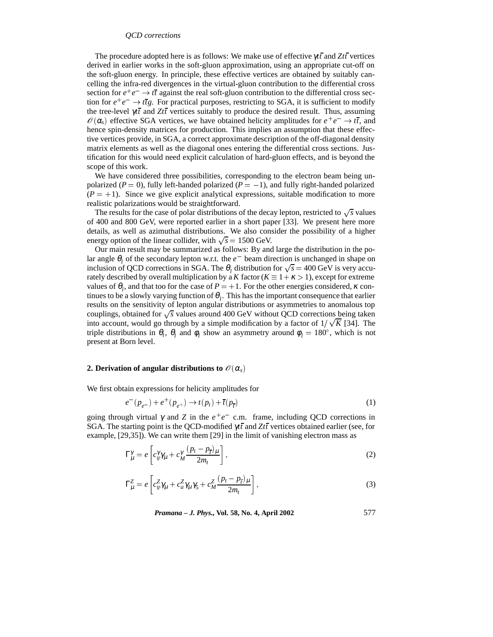The procedure adopted here is as follows: We make use of effective γ*tt* and *Ztt* vertices derived in earlier works in the soft-gluon approximation, using an appropriate cut-off on the soft-gluon energy. In principle, these effective vertices are obtained by suitably cancelling the infra-red divergences in the virtual-gluon contribution to the differential cross section for  $e^+e^- \rightarrow t\bar{t}$  against the real soft-gluon contribution to the differential cross section for  $e^+e^- \rightarrow t\bar{t}g$ . For practical purposes, restricting to SGA, it is sufficient to modify the tree-level  $\gamma t\bar{t}$  and  $Zt\bar{t}$  vertices suitably to produce the desired result. Thus, assuming  $\mathscr{O}(\alpha_s)$  effective SGA vertices, we have obtained helicity amplitudes for  $e^+e^- \to t\bar{t}$ , and hence spin-density matrices for production. This implies an assumption that these effective vertices provide, in SGA, a correct approximate description of the off-diagonal density matrix elements as well as the diagonal ones entering the differential cross sections. Justification for this would need explicit calculation of hard-gluon effects, and is beyond the scope of this work.

We have considered three possibilities, corresponding to the electron beam being unpolarized  $(P = 0)$ , fully left-handed polarized  $(P = -1)$ , and fully right-handed polarized  $(P = +1)$ . Since we give explicit analytical expressions, suitable modification to more realistic polarizations would be straightforward.

The results for the case of polar distributions of the decay lepton, restricted to  $\sqrt{s}$  values of 400 and 800 GeV, were reported earlier in a short paper [33]. We present here more details, as well as azimuthal distributions. We also consider the possibility of a higher energy option of the linear collider, with  $\sqrt{s} = 1500$  GeV.

Our main result may be summarized as follows: By and large the distribution in the polar angle  $\theta_l$  of the secondary lepton w.r.t. the  $e^-$  beam direction is unchanged in shape on inclusion of QCD corrections in SGA. The  $\theta_l$  distribution for  $\sqrt{s} = 400 \text{ GeV}$  is very accurately described by overall multiplication by a *K* factor ( $K \equiv 1 + \kappa > 1$ ), except for extreme values of  $\theta_l$ , and that too for the case of  $P = +1$ . For the other energies considered,  $\kappa$  continues to be a slowly varying function of  $\theta$ <sub>l</sub>. This has the important consequence that earlier results on the sensitivity of lepton angular distributions or asymmetries to anomalous top couplings, obtained for  $\sqrt{s}$  values around 400 GeV without QCD corrections being taken into account, would go through by a simple modification by a factor of  $1/\sqrt{K}$  [34]. The triple distributions in  $\theta_t$ ,  $\theta_l$  and  $\phi_l$  show an asymmetry around  $\phi_l = 180^\circ$ , which is not present at Born level.

#### **2. Derivation of angular distributions to**  $\mathscr{O}(\alpha_s)$

We first obtain expressions for helicity amplitudes for

$$
e^{-}(p_{e^{-}}) + e^{+}(p_{e^{+}}) \to t(p_{t}) + \bar{t}(p_{\bar{t}})
$$
\n(1)

going through virtual  $\gamma$  and Z in the  $e^+e^-$  c.m. frame, including QCD corrections in SGA. The starting point is the QCD-modified γ*tt* and *Ztt* vertices obtained earlier (see, for example, [29,35]). We can write them [29] in the limit of vanishing electron mass as

$$
\Gamma_{\mu}^{\gamma} = e \left[ c_{\psi}^{\gamma} \gamma_{\mu} + c_{M}^{\gamma} \frac{(p_t - p_{\overline{t}})_{\mu}}{2m_t} \right],
$$
\n(2)

$$
\Gamma_{\mu}^{Z} = e \left[ c_{\psi}^{Z} \gamma_{\mu} + c_{a}^{Z} \gamma_{\mu} \gamma_{5} + c_{M}^{Z} \frac{(p_{t} - p_{\overline{t}})_{\mu}}{2m_{t}} \right],
$$
\n(3)

*Pramana – J. Phys.,* **Vol. 58, No. 4, April 2002** 577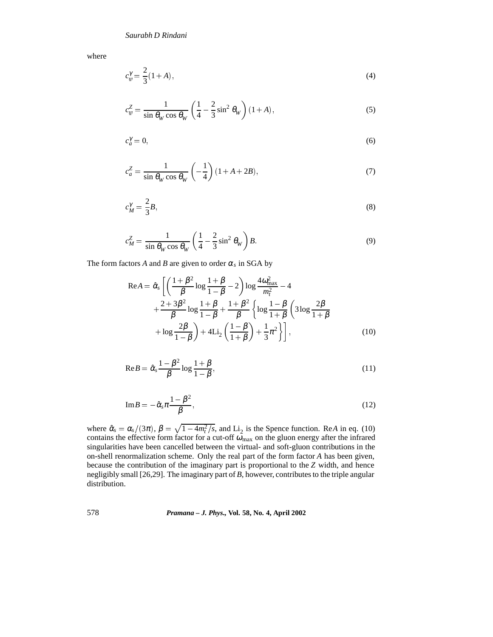where

$$
c_{\psi}^{\gamma} = \frac{2}{3}(1+A),\tag{4}
$$

$$
c_w^Z = \frac{1}{\sin \theta_W \cos \theta_W} \left( \frac{1}{4} - \frac{2}{3} \sin^2 \theta_W \right) (1 + A),\tag{5}
$$

$$
c_a^{\gamma} = 0,\tag{6}
$$

$$
c_a^Z = \frac{1}{\sin \theta_W \cos \theta_W} \left( -\frac{1}{4} \right) (1 + A + 2B),\tag{7}
$$

$$
c_M^{\gamma} = \frac{2}{3}B,\tag{8}
$$

$$
c_M^Z = \frac{1}{\sin \theta_W \cos \theta_W} \left( \frac{1}{4} - \frac{2}{3} \sin^2 \theta_W \right) B. \tag{9}
$$

The form factors *A* and *B* are given to order  $\alpha_s$  in SGA by

$$
\text{Re}A = \hat{\alpha}_{s} \left[ \left( \frac{1+\beta^{2}}{\beta} \log \frac{1+\beta}{1-\beta} - 2 \right) \log \frac{4\omega_{\text{max}}^{2}}{m_{t}^{2}} - 4 + \frac{2+3\beta^{2}}{\beta} \log \frac{1+\beta}{1-\beta} + \frac{1+\beta^{2}}{\beta} \left\{ \log \frac{1-\beta}{1+\beta} \left( 3 \log \frac{2\beta}{1+\beta} + \log \frac{2\beta}{1-\beta} \right) + 4 \text{Li}_{2} \left( \frac{1-\beta}{1+\beta} \right) + \frac{1}{3} \pi^{2} \right\} \right], \tag{10}
$$

$$
\text{Re}\,B = \hat{\alpha}_s \frac{1 - \beta^2}{\beta} \log \frac{1 + \beta}{1 - \beta},\tag{11}
$$

$$
\mathrm{Im}B = -\hat{\alpha}_s \pi \frac{1 - \beta^2}{\beta},\tag{12}
$$

where  $\hat{\alpha}_s = \alpha_s/(3\pi)$ ,  $\beta = \sqrt{1 - 4m_t^2/s}$ , and Li<sub>2</sub> is the Spence function. Re*A* in eq. (10) contains the effective form factor for a cut-off  $\omega_{\text{max}}$  on the gluon energy after the infrared singularities have been cancelled between the virtual- and soft-gluon contributions in the on-shell renormalization scheme. Only the real part of the form factor *A* has been given, because the contribution of the imaginary part is proportional to the *Z* width, and hence negligibly small [26,29]. The imaginary part of *B*, however, contributes to the triple angular distribution.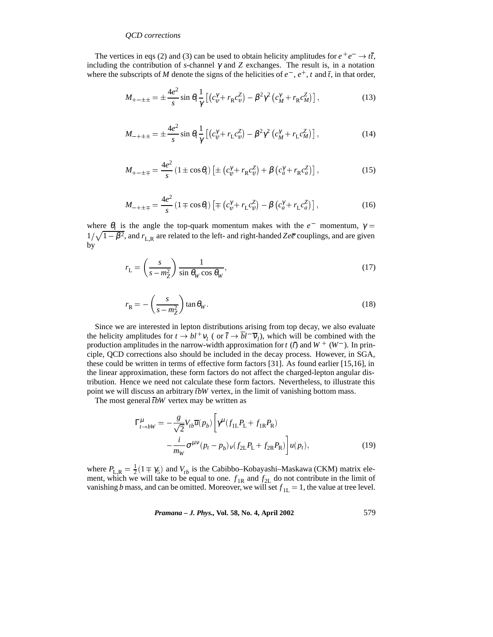The vertices in eqs (2) and (3) can be used to obtain helicity amplitudes for  $e^+e^- \rightarrow t\bar{t}$ , including the contribution of *s*-channel  $\gamma$  and  $\gamma$  exchanges. The result is, in a notation where the subscripts of *M* denote the signs of the helicities of  $e^-$ ,  $e^+$ , *t* and  $\overline{t}$ , in that order,

$$
M_{+-\pm\pm} = \pm \frac{4e^2}{s} \sin \theta_t \frac{1}{\gamma} \left[ \left( c_{\psi}^{\gamma} + r_{\mathcal{R}} c_{\psi}^Z \right) - \beta^2 \gamma^2 \left( c_M^{\gamma} + r_{\mathcal{R}} c_M^Z \right) \right],\tag{13}
$$

$$
M_{-+\pm\pm} = \pm \frac{4e^2}{s} \sin \theta_t \frac{1}{\gamma} \left[ \left( c_{\psi}^{\gamma} + r_{\rm L} c_{\psi}^{\gamma} \right) - \beta^2 \gamma^2 \left( c_M^{\gamma} + r_{\rm L} c_M^{\gamma} \right) \right],\tag{14}
$$

$$
M_{+-\pm\mp} = \frac{4e^2}{s} \left(1 \pm \cos \theta_t\right) \left[\pm \left(c_y^{\gamma} + r_{\mathcal{R}} c_\psi^{\gamma}\right) + \beta \left(c_a^{\gamma} + r_{\mathcal{R}} c_a^{\gamma}\right)\right],\tag{15}
$$

$$
M_{-+\pm\mp} = \frac{4e^2}{s} \left(1 \mp \cos\theta_t\right) \left[\mp \left(c_{\psi}^{\gamma} + r_{\rm L}c_{\psi}^{Z}\right) - \beta\left(c_{a}^{\gamma} + r_{\rm L}c_{a}^{Z}\right)\right],\tag{16}
$$

where  $\theta_t$  is the angle the top-quark momentum makes with the  $e^-$  momentum,  $\gamma =$  $1/\sqrt{1-\beta^2}$ , and  $r_{L,R}$  are related to the left- and right-handed *Zee* couplings, and are given by

$$
r_{\rm L} = \left(\frac{s}{s - m_Z^2}\right) \frac{1}{\sin \theta_W \cos \theta_W},\tag{17}
$$

$$
r_{\rm R} = -\left(\frac{s}{s - m_Z^2}\right) \tan \theta_W. \tag{18}
$$

Since we are interested in lepton distributions arising from top decay, we also evaluate the helicity amplitudes for  $t \to bl^+v_l$  ( or  $\bar{t} \to bl^-v_l$ ), which will be combined with the production amplitudes in the narrow-width approximation for  $t$  ( $t$ ) and  $W^+$  ( $W^-$ ). In principle, QCD corrections also should be included in the decay process. However, in SGA, these could be written in terms of effective form factors [31]. As found earlier [15,16], in the linear approximation, these form factors do not affect the charged-lepton angular distribution. Hence we need not calculate these form factors. Nevertheless, to illustrate this point we will discuss an arbitrary *tbW* vertex, in the limit of vanishing bottom mass.

The most general *tbW* vertex may be written as

$$
\Gamma_{t \to bW}^{\mu} = -\frac{g}{\sqrt{2}} V_{tb} \overline{u}(p_b) \left[ \gamma^{\mu} (f_{1L} P_L + f_{1R} P_R) - \frac{i}{m_W} \sigma^{\mu \nu} (p_t - p_b)_{\nu} (f_{2L} P_L + f_{2R} P_R) \right] u(p_t), \qquad (19)
$$

where  $P_{L,R} = \frac{1}{2}(1 \mp \gamma_5)$  and  $V_{tb}$  is the Cabibbo–Kobayashi–Maskawa (CKM) matrix element, which we will take to be equal to one.  $f_{1R}$  and  $f_{2L}$  do not contribute in the limit of vanishing *b* mass, and can be omitted. Moreover, we will set  $f_{1L} = 1$ , the value at tree level.

*Pramana – J. Phys.,* **Vol. 58, No. 4, April 2002** 579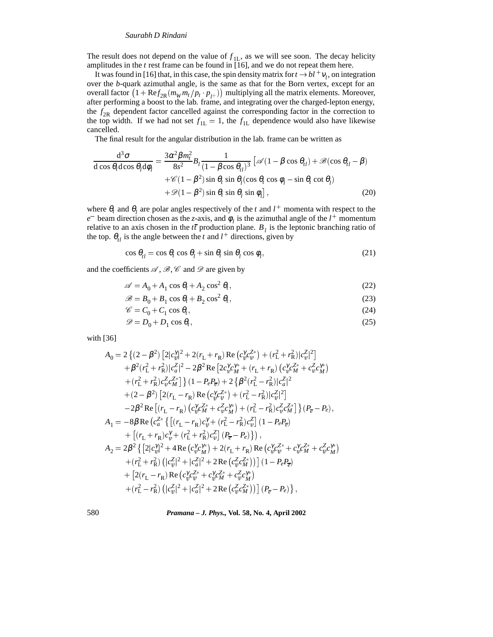The result does not depend on the value of  $f_{\text{H}}$ , as we will see soon. The decay helicity amplitudes in the *t* rest frame can be found in [16], and we do not repeat them here.

It was found in [16] that, in this case, the spin density matrix for  $t \to bl^+v_l$ , on integration over the *b*-quark azimuthal angle, is the same as that for the Born vertex, except for an overall factor  $(1 + \text{Re} f_{2R}(m_{W}m_{t}/p_{t} p_{t+}))$  multiplying all the matrix elements. Moreover, after performing a boost to the lab. frame, and integrating over the charged-lepton energy, the *f* 2R dependent factor cancelled against the corresponding factor in the correction to the top width. If we had not set  $f_{1L} = 1$ , the  $f_{1L}$  dependence would also have likewise cancelled.

The final result for the angular distribution in the lab. frame can be written as

$$
\frac{d^3 \sigma}{d \cos \theta_t d \cos \theta_l d \phi_l} = \frac{3 \alpha^2 \beta m_t^2}{8s^2} B_l \frac{1}{(1 - \beta \cos \theta_{tl})^3} \left[ \mathcal{A} (1 - \beta \cos \theta_{tl}) + \mathcal{B} (\cos \theta_{tl} - \beta) + \mathcal{C} (1 - \beta^2) \sin \theta_t \sin \theta_l (\cos \theta_t \cos \phi_l - \sin \theta_t \cot \theta_l) + \mathcal{D} (1 - \beta^2) \sin \theta_t \sin \theta_l \sin \phi_l \right],
$$
\n(20)

where  $\theta_t$  and  $\theta_l$  are polar angles respectively of the *t* and  $l^+$  momenta with respect to the *e* beam direction chosen as the *z*-axis, and  $\phi$ <sub>*l*</sub> is the azimuthal angle of the *l*<sup>+</sup> momentum relative to an axis chosen in the  $t\bar{t}$  production plane.  $B_l$  is the leptonic branching ratio of the top.  $\theta_{t}$  is the angle between the *t* and  $l^+$  directions, given by

$$
\cos \theta_{t} = \cos \theta_{t} \cos \theta_{t} + \sin \theta_{t} \sin \theta_{t} \cos \phi_{t}, \tag{21}
$$

and the coefficients  $\mathscr{A}, \mathscr{B}, \mathscr{C}$  and  $\mathscr{D}$  are given by

$$
\mathscr{A} = A_0 + A_1 \cos \theta_t + A_2 \cos^2 \theta_t, \tag{22}
$$

$$
\mathcal{B} = B_0 + B_1 \cos \theta_t + B_2 \cos^2 \theta_t, \tag{23}
$$

$$
\mathscr{C} = C_0 + C_1 \cos \theta_t,\tag{24}
$$

$$
\mathcal{D} = D_0 + D_1 \cos \theta_t, \tag{25}
$$

with [36]

$$
A_{0} = 2 \{ (2 - \beta^{2}) \left[ 2|c_{w}^{\gamma}\right]^{2} + 2(r_{L} + r_{R}) \operatorname{Re}\left(c_{w}^{\gamma}c_{w}^{Z*}\right) + (r_{L}^{2} + r_{R}^{2})|c_{w}^{Z}|^{2} \right] + \beta^{2}(r_{L}^{2} + r_{R}^{2})|c_{a}^{Z}|^{2} - 2\beta^{2} \operatorname{Re}\left[2c_{w}^{\gamma}c_{M}^{X*} + (r_{L} + r_{R})\left(c_{w}^{\gamma}c_{M}^{Z*} + c_{w}^{Z}c_{M}^{\gamma*}\right) \right. + (r_{L}^{2} + r_{R}^{2})c_{w}^{Z}c_{M}^{Z*} \} \} (1 - P_{e}P_{\overline{e}}) + 2 \{ \beta^{2}(r_{L}^{2} - r_{R}^{2})|c_{a}^{Z}|^{2} + (2 - \beta^{2}) \left[2(r_{L} - r_{R}) \operatorname{Re}\left(c_{w}^{\gamma}c_{w}^{Z*}\right) + (r_{L}^{2} - r_{R}^{2})|c_{w}^{Z}|^{2} \right] - 2\beta^{2} \operatorname{Re}\left[(r_{L} - r_{R})\left(c_{w}^{\gamma}c_{M}^{Z*} + c_{w}^{2}c_{M}^{\gamma*}\right) + (r_{L}^{2} - r_{R}^{2})c_{w}^{Z}c_{M}^{Z*} \right] \} (P_{\overline{e}} - P_{e}), A_{1} = -8\beta \operatorname{Re}\left(c_{a}^{Z*} \left\{ \left[ (r_{L} - r_{R})c_{w}^{\gamma} + (r_{L}^{2} - r_{R}^{2})c_{w}^{Z} \right] (1 - P_{e}P_{\overline{e}}) \right. + \left[ (r_{L} + r_{R})c_{w}^{\gamma} + (r_{L}^{2} + r_{R}^{2})c_{w}^{Z} \right] (P_{\overline{e}} - P_{e}) \right\} \right), A_{2} = 2\beta^{2} \left\{ \left[2|c_{w}^{\gamma}|^{2} + 4 \operatorname{Re}\left(c_{w}^{\gamma}c_{M}^{\gamma*}\right) + 2(r_{L} + r_{R}) \operatorname{Re}\left(c
$$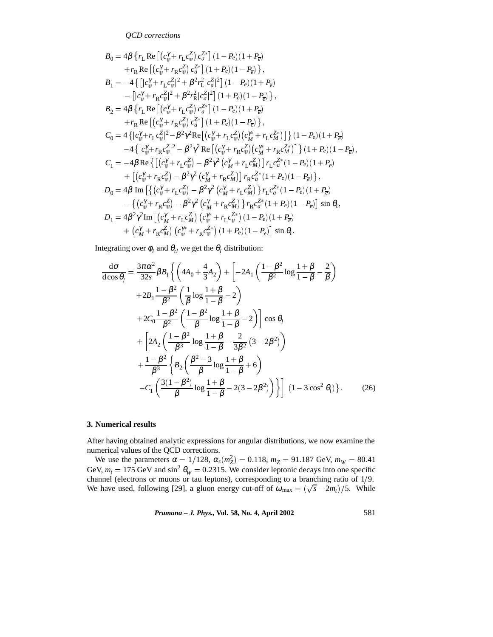$$
B_{0} = 4\beta \left\{ r_{L} \operatorname{Re}\left[ (c_{\psi}^{\gamma} + r_{L}c_{\psi}^{\gamma}) c_{a}^{Z_{a}} \right] (1 - P_{e}) (1 + P_{\overline{e}})
$$
  
\n
$$
+ r_{R} \operatorname{Re}\left[ (c_{\psi}^{\gamma} + r_{R}c_{\psi}^{\gamma}) c_{a}^{Z_{a}} \right] (1 + P_{e}) (1 - P_{\overline{e}}) \right\},
$$
  
\n
$$
B_{1} = -4 \left\{ \left[ |c_{\psi}^{\gamma} + r_{L}c_{\psi}^{\gamma}|^{2} + \beta^{2}r_{L}^{2}|c_{a}^{Z}|^{2} \right] (1 - P_{e}) (1 + P_{\overline{e}})
$$
  
\n
$$
- \left[ |c_{\psi}^{\gamma} + r_{R}c_{\psi}^{\gamma}|^{2} + \beta^{2}r_{R}^{2}|c_{a}^{Z}|^{2} \right] (1 + P_{e}) (1 - P_{\overline{e}}) \right\},
$$
  
\n
$$
B_{2} = 4\beta \left\{ r_{L} \operatorname{Re}\left[ (c_{\psi}^{\gamma} + r_{L}c_{\psi}^{\gamma}) c_{a}^{Z_{a}} \right] (1 + P_{e}) (1 - P_{\overline{e}}) \right\},
$$
  
\n
$$
+ r_{R} \operatorname{Re}\left[ (c_{\psi}^{\gamma} + r_{R}c_{\psi}^{\gamma}) c_{a}^{Z_{a}} \right] (1 + P_{e}) (1 - P_{\overline{e}}) \right\},
$$
  
\n
$$
C_{0} = 4 \left\{ |c_{\psi}^{\gamma} + r_{L}c_{\psi}^{Z}|^{2} - \beta^{2} \gamma^{2} \operatorname{Re}\left[ (c_{\psi}^{\gamma} + r_{L}c_{\psi}^{Z}) (c_{M}^{\gamma*} + r_{L}c_{M}^{Z*}) \right] \right\} (1 + P_{e}) (1 + P_{\overline{e}})
$$
  
\n
$$
-4 \left\{ |c_{\psi}^{\gamma} + r_{R}c_{\psi}^{Z}|^{2} - \beta^{2} \gamma^{2} \operatorname{Re}\left[ (c_{\psi}^{\gamma} + r_{R}c_{\psi}^{Z}) (c
$$

Integrating over  $\phi_l$  and  $\theta_{tl}$  we get the  $\theta_l$  distribution:

$$
\frac{d\sigma}{d\cos\theta_{l}} = \frac{3\pi\alpha^{2}}{32s} \beta B_{l} \left\{ \left( 4A_{0} + \frac{4}{3}A_{2} \right) + \left[ -2A_{1} \left( \frac{1-\beta^{2}}{\beta^{2}} \log \frac{1+\beta}{1-\beta} - \frac{2}{\beta} \right) \right. \\ \left. + 2B_{1} \frac{1-\beta^{2}}{\beta^{2}} \left( \frac{1}{\beta} \log \frac{1+\beta}{1-\beta} - 2 \right) \right. \\ \left. + 2C_{0} \frac{1-\beta^{2}}{\beta^{2}} \left( \frac{1-\beta^{2}}{\beta} \log \frac{1+\beta}{1-\beta} - 2 \right) \right] \cos \theta_{l} \\ \left. + \left[ 2A_{2} \left( \frac{1-\beta^{2}}{\beta^{3}} \log \frac{1+\beta}{1-\beta} - \frac{2}{3\beta^{2}} (3-2\beta^{2}) \right) \right. \\ \left. + \frac{1-\beta^{2}}{\beta^{3}} \left\{ B_{2} \left( \frac{\beta^{2}-3}{\beta} \log \frac{1+\beta}{1-\beta} + 6 \right) \right. \\ \left. - C_{1} \left( \frac{3(1-\beta^{2})}{\beta} \log \frac{1+\beta}{1-\beta} - 2(3-2\beta^{2}) \right) \right\} \right] \ (1-3\cos^{2}\theta_{l}) \right\}.
$$
 (26)

## **3. Numerical results**

After having obtained analytic expressions for angular distributions, we now examine the numerical values of the QCD corrections.

We use the parameters  $\alpha = 1/128$ ,  $\alpha_s(m_Z^2) = 0.118$ ,  $m_Z = 91.187$  GeV,  $m_W = 80.41$ GeV,  $m_t = 175$  GeV and  $\sin^2 \theta_W = 0.2315$ . We consider leptonic decays into one specific channel (electrons or muons or tau leptons), corresponding to a branching ratio of  $1/9$ . We have used, following [29], a gluon energy cut-off of  $\omega_{\text{max}} = (\sqrt{s} - 2m_t)/5$ . While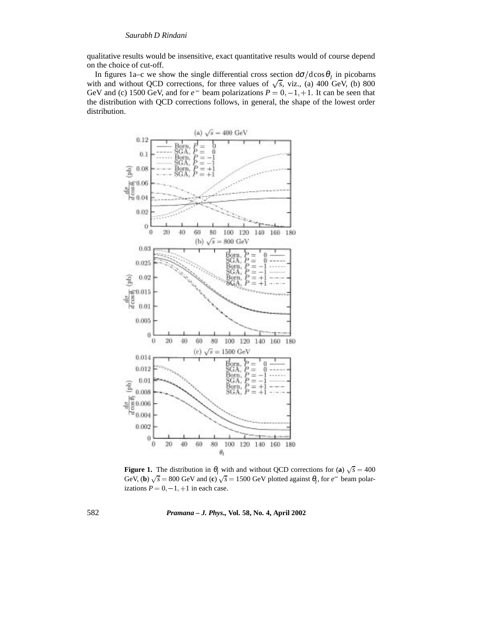qualitative results would be insensitive, exact quantitative results would of course depend on the choice of cut-off.

In figures 1a–c we show the single differential cross section  $d\sigma/d\cos\theta_l$  in picobarns with and without QCD corrections, for three values of  $\sqrt{s}$ , viz., (a) 400 GeV, (b) 800 GeV and (c) 1500 GeV, and for  $e^-$  beam polarizations  $P = 0, -1, +1$ . It can be seen that the distribution with QCD corrections follows, in general, the shape of the lowest order distribution.



**Figure 1.** The distribution in  $\theta_l$  with and without QCD corrections for (**a**)  $\sqrt{s} = 400$ GeV, (**b**)  $\sqrt{s} = 800$  GeV and (**c**)  $\sqrt{s} = 1500$  GeV plotted against  $\theta_l$ , for  $e^-$  beam polarizations  $P = 0, -1, +1$  in each case.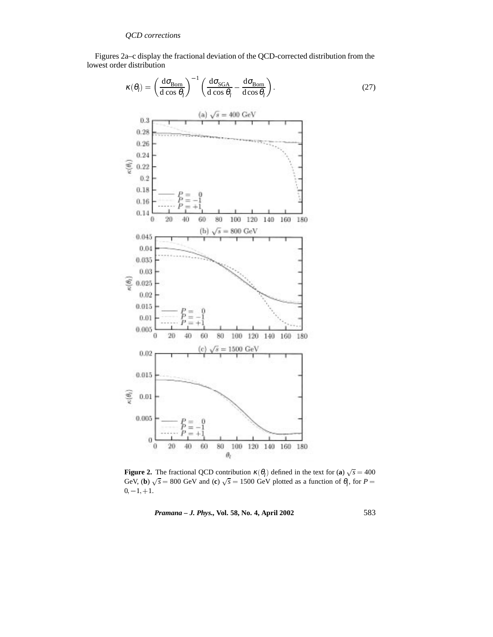Figures 2a–c display the fractional deviation of the QCD-corrected distribution from the lowest order distribution

: (27)



**Figure 2.** The fractional QCD contribution  $\kappa(\theta)$  defined in the text for (a)  $\sqrt{s} = 400$ GeV, (**b**)  $\sqrt{s} = 800$  GeV and (**c**)  $\sqrt{s} = 1500$  GeV plotted as a function of  $\theta_l$ , for  $P =$  $0, -1, +1.$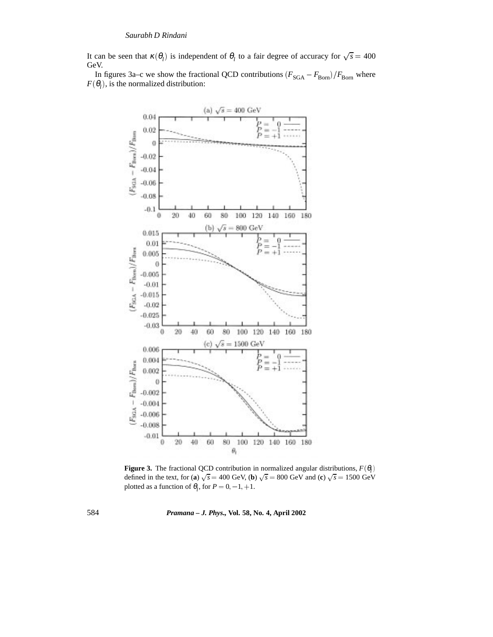It can be seen that  $\kappa(\theta_i)$  is independent of  $\theta_i$  to a fair degree of accuracy for  $\sqrt{s} = 400$ GeV.

In figures 3a–c we show the fractional QCD contributions  $(F_{SGA} - F_{Born})/F_{Born}$  where  $F(\theta_i)$ , is the normalized distribution:



**Figure 3.** The fractional QCD contribution in normalized angular distributions,  $F(\theta)$ defined in the text, for (a)  $\sqrt{s} = 400$  GeV, (b)  $\sqrt{s} = 800$  GeV and (c)  $\sqrt{s} = 1500$  GeV plotted as a function of  $\theta_l$ , for  $P = 0, -1, +1$ .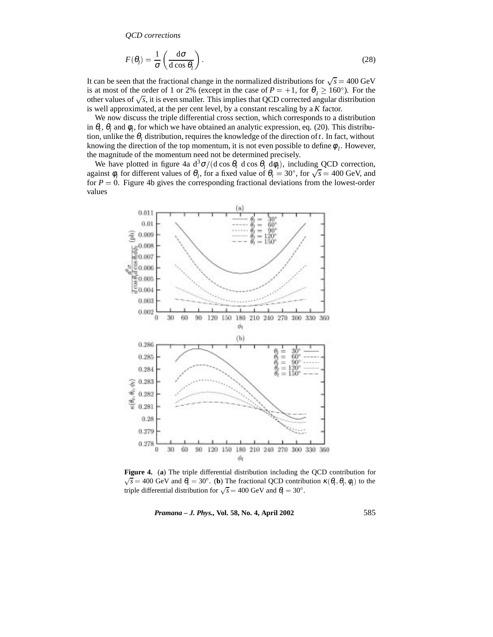$$
F(\theta_l) = \frac{1}{\sigma} \left( \frac{d\sigma}{d\cos\theta_l} \right).
$$
 (28)

It can be seen that the fractional change in the normalized distributions for  $\sqrt{s} = 400 \text{ GeV}$ is at most of the order of 1 or 2% (except in the case of  $P = +1$ , for  $\theta_l \ge 160^\circ$ ). For the other values of  $\sqrt{s}$ , it is even smaller. This implies that QCD corrected angular distribution is well approximated, at the per cent level, by a constant rescaling by a *K* factor.

We now discuss the triple differential cross section, which corresponds to a distribution in  $\theta_t$ ,  $\theta_l$  and  $\phi_l$ , for which we have obtained an analytic expression, eq. (20). This distribution, unlike the  $\theta_l$  distribution, requires the knowledge of the direction of *t*. In fact, without knowing the direction of the top momentum, it is not even possible to define  $\phi_l$ . However, the magnitude of the momentum need not be determined precisely.

We have plotted in figure 4a  $d^3\sigma/(d \cos \theta_t \, d \cos \theta_l \, d\phi_l)$ , including QCD correction, against  $\phi_l$  for different values of  $\theta_l$ , for a fixed value of  $\theta_t = 30^\circ$ , for  $\sqrt{s} = 400$  GeV, and for  $P = 0$ . Figure 4b gives the corresponding fractional deviations from the lowest-order values



**Figure 4.** (**a**) The triple differential distribution including the QCD contribution for  $\sqrt{s}$  = 400 GeV and  $\theta_t$  = 30°. (**b**) The fractional QCD contribution  $\kappa(\theta_t, \theta_t, \phi_t)$  to the triple differential distribution for  $\sqrt{s} = 400$  GeV and  $\theta_t = 30^\circ$ .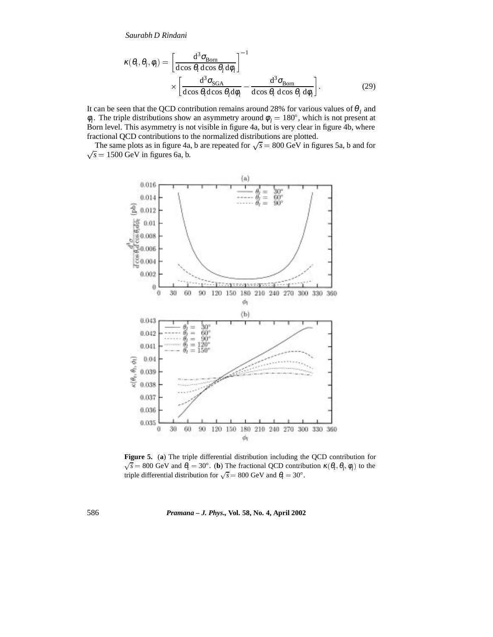$$
\kappa(\theta_t, \theta_l, \phi_l) = \left[\frac{d^3 \sigma_{\text{Born}}}{d \cos \theta_t d \cos \theta_l d \phi_l}\right]^{-1} \times \left[\frac{d^3 \sigma_{\text{SGA}}}{d \cos \theta_t d \cos \theta_l d \phi_l} - \frac{d^3 \sigma_{\text{Born}}}{d \cos \theta_t d \cos \theta_l d \phi_l}\right].
$$
\n(29)

It can be seen that the QCD contribution remains around 28% for various values of  $\theta_l$  and  $\phi_l$ . The triple distributions show an asymmetry around  $\phi_l = 180^\circ$ , which is not present at Born level. This asymmetry is not visible in figure 4a, but is very clear in figure 4b, where fractional QCD contributions to the normalized distributions are plotted.

The same plots as in figure 4a, b are repeated for  $\sqrt{s} = 800$  GeV in figures 5a, b and for  $\sqrt{s}$  = 1500 GeV in figures 6a, b.



**Figure 5.** (**a**) The triple differential distribution including the QCD contribution for  $\sqrt{s}$  = 800 GeV and  $\theta_t$  = 30°. (**b**) The fractional QCD contribution  $\kappa(\theta_t, \theta_l, \phi_l)$  to the triple differential distribution for  $\sqrt{s} = 800$  GeV and  $\theta_t = 30^\circ$ .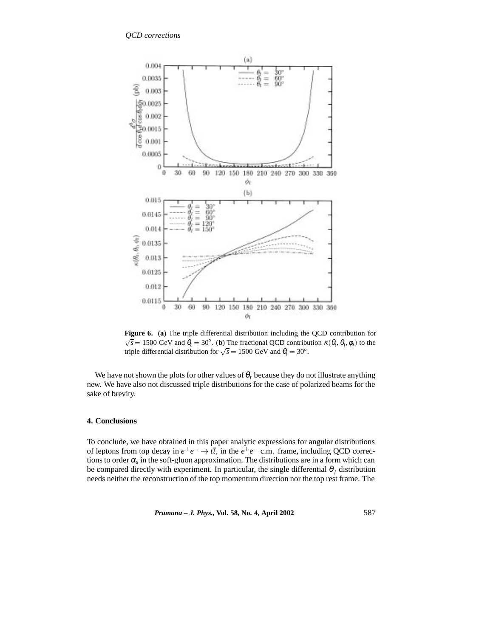

**Figure 6.** (**a**) The triple differential distribution including the QCD contribution for  $\sqrt{s}$  = 1500 GeV and  $\theta_t$  = 30°. (**b**) The fractional QCD contribution  $\kappa(\theta_t, \theta_t, \phi_t)$  to the triple differential distribution for  $\sqrt{s} = 1500 \text{ GeV}$  and  $\theta_t = 30^\circ$ .

We have not shown the plots for other values of  $\theta_t$  because they do not illustrate anything new. We have also not discussed triple distributions for the case of polarized beams for the sake of brevity.

## **4. Conclusions**

To conclude, we have obtained in this paper analytic expressions for angular distributions of leptons from top decay in  $e^+e^- \to t\bar{t}$ , in the  $e^+e^-$  c.m. frame, including QCD corrections to order  $\alpha_s$  in the soft-gluon approximation. The distributions are in a form which can be compared directly with experiment. In particular, the single differential  $\theta_i$  distribution needs neither the reconstruction of the top momentum direction nor the top rest frame. The

*Pramana – J. Phys.,* **Vol. 58, No. 4, April 2002** 587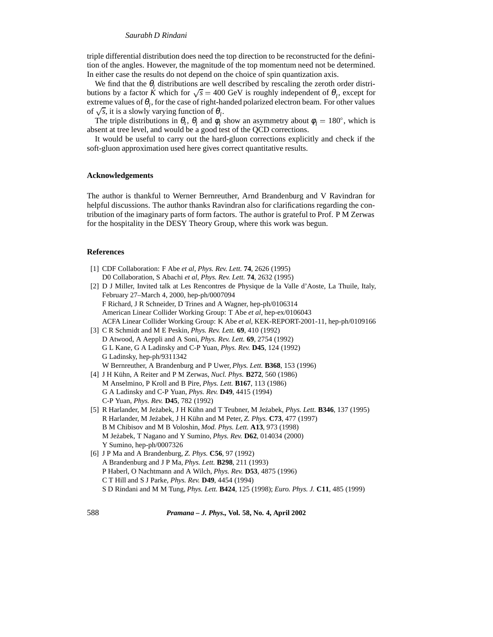triple differential distribution does need the top direction to be reconstructed for the definition of the angles. However, the magnitude of the top momentum need not be determined. In either case the results do not depend on the choice of spin quantization axis.

We find that the  $\theta$ <sub>l</sub> distributions are well described by rescaling the zeroth order distributions by a factor *K* which for  $\sqrt{s} = 400 \text{ GeV}$  is roughly independent of  $\theta_l$ , except for extreme values of  $\theta_l$ , for the case of right-handed polarized electron beam. For other values of  $\sqrt{s}$ , it is a slowly varying function of  $\theta$ <sub>*l*</sub>.

The triple distributions in  $\theta_t$ ,  $\theta_l$  and  $\phi_l$  show an asymmetry about  $\phi_l = 180^\circ$ , which is absent at tree level, and would be a good test of the QCD corrections.

It would be useful to carry out the hard-gluon corrections explicitly and check if the soft-gluon approximation used here gives correct quantitative results.

#### **Acknowledgements**

The author is thankful to Werner Bernreuther, Arnd Brandenburg and V Ravindran for helpful discussions. The author thanks Ravindran also for clarifications regarding the contribution of the imaginary parts of form factors. The author is grateful to Prof. P M Zerwas for the hospitality in the DESY Theory Group, where this work was begun.

#### **References**

- [1] CDF Collaboration: F Abe *et al*, *Phys. Rev. Lett.* **74**, 2626 (1995) D0 Collaboration, S Abachi *et al*, *Phys. Rev. Lett.* **74**, 2632 (1995) [2] D J Miller, Invited talk at Les Rencontres de Physique de la Valle d'Aoste, La Thuile, Italy, February 27–March 4, 2000, hep-ph/0007094 F Richard, J R Schneider, D Trines and A Wagner, hep-ph/0106314 American Linear Collider Working Group: T Abe *et al*, hep-ex/0106043 ACFA Linear Collider Working Group: K Abe *et al*, KEK-REPORT-2001-11, hep-ph/0109166 [3] C R Schmidt and M E Peskin, *Phys. Rev. Lett.* **69**, 410 (1992) D Atwood, A Aeppli and A Soni, *Phys. Rev. Lett.* **69**, 2754 (1992) G L Kane, G A Ladinsky and C-P Yuan, *Phys. Rev.* **D45**, 124 (1992) G Ladinsky, hep-ph/9311342 W Bernreuther, A Brandenburg and P Uwer, *Phys. Lett.* **B368**, 153 (1996) [4] J H Kühn, A Reiter and P M Zerwas, *Nucl. Phys.* **B272**, 560 (1986) M Anselmino, P Kroll and B Pire, *Phys. Lett.* **B167**, 113 (1986) G A Ladinsky and C-P Yuan, *Phys. Rev.* **D49**, 4415 (1994) C-P Yuan, *Phys. Rev.* **D45**, 782 (1992) [5] R Harlander, M Je˙zabek, J H K¨uhn and T Teubner, M Je˙zabek, *Phys. Lett.* **B346**, 137 (1995) R Harlander, M Je˙zabek, J H K¨uhn and M Peter, *Z. Phys.* **C73**, 477 (1997)
- B M Chibisov and M B Voloshin, *Mod. Phys. Lett.* **A13**, 973 (1998) M Je˙zabek, T Nagano and Y Sumino, *Phys. Rev.* **D62**, 014034 (2000) Y Sumino, hep-ph/0007326
- [6] J P Ma and A Brandenburg, *Z. Phys.* **C56**, 97 (1992) A Brandenburg and J P Ma, *Phys. Lett.* **B298**, 211 (1993) P Haberl, O Nachtmann and A Wilch, *Phys. Rev.* **D53**, 4875 (1996) C T Hill and S J Parke, *Phys. Rev.* **D49**, 4454 (1994) S D Rindani and M M Tung, *Phys. Lett.* **B424**, 125 (1998); *Euro. Phys. J.* **C11**, 485 (1999)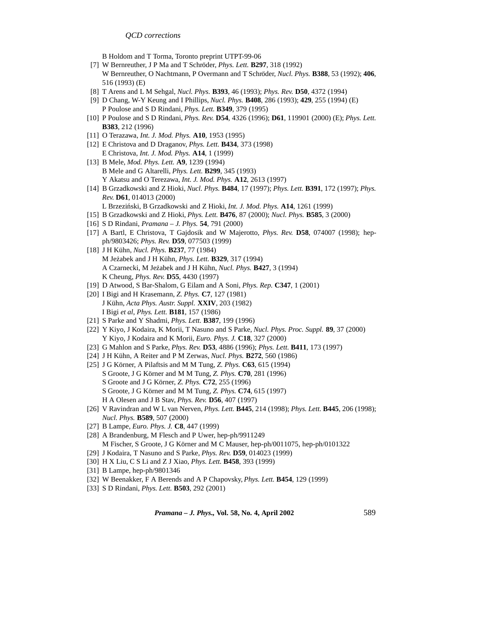B Holdom and T Torma, Toronto preprint UTPT-99-06

- [7] W Bernreuther, J P Ma and T Schröder, *Phys. Lett.* **B297**, 318 (1992) W Bernreuther, O Nachtmann, P Overmann and T Schröder, *Nucl. Phys.* **B388**, 53 (1992); **406**, 516 (1993) (E)
- [8] T Arens and L M Sehgal, *Nucl. Phys.* **B393**, 46 (1993); *Phys. Rev.* **D50**, 4372 (1994)
- [9] D Chang, W-Y Keung and I Phillips, *Nucl. Phys.* **B408**, 286 (1993); **429**, 255 (1994) (E) P Poulose and S D Rindani, *Phys. Lett.* **B349**, 379 (1995)
- [10] P Poulose and S D Rindani, *Phys. Rev.* **D54**, 4326 (1996); **D61**, 119901 (2000) (E); *Phys. Lett.* **B383**, 212 (1996)
- [11] O Terazawa, *Int. J. Mod. Phys.* **A10**, 1953 (1995)
- [12] E Christova and D Draganov, *Phys. Lett.* **B434**, 373 (1998) E Christova, *Int. J. Mod. Phys.* **A14**, 1 (1999)
- [13] B Mele, *Mod. Phys. Lett.* **A9**, 1239 (1994) B Mele and G Altarelli, *Phys. Lett.* **B299**, 345 (1993) Y Akatsu and O Terezawa, *Int. J. Mod. Phys.* **A12**, 2613 (1997)
- [14] B Grzadkowski and Z Hioki, *Nucl. Phys.* **B484**, 17 (1997); *Phys. Lett.* **B391**, 172 (1997); *Phys. Rev.* **D61**, 014013 (2000)
	- L Brzeziński, B Grzadkowski and Z Hioki, *Int. J. Mod. Phys.* A14, 1261 (1999)
- [15] B Grzadkowski and Z Hioki, *Phys. Lett.* **B476**, 87 (2000); *Nucl. Phys.* **B585**, 3 (2000)
- [16] S D Rindani, *Pramana J. Phys.* **54**, 791 (2000)
- [17] A Bartl, E Christova, T Gajdosik and W Majerotto, *Phys. Rev.* **D58**, 074007 (1998); hepph/9803426; *Phys. Rev.* **D59**, 077503 (1999)
- [18] J H Kühn, *Nucl. Phys.* **B237**, 77 (1984) M Je˙zabek and J H K¨uhn, *Phys. Lett.* **B329**, 317 (1994) A Czarnecki, M Je˙zabek and J H K¨uhn, *Nucl. Phys.* **B427**, 3 (1994) K Cheung, *Phys. Rev.* **D55**, 4430 (1997)
- [19] D Atwood, S Bar-Shalom, G Eilam and A Soni, *Phys. Rep.* **C347**, 1 (2001)
- [20] I Bigi and H Krasemann, *Z. Phys.* **C7**, 127 (1981) J K¨uhn, *Acta Phys. Austr. Suppl.* **XXIV**, 203 (1982) I Bigi *et al*, *Phys. Lett.* **B181**, 157 (1986)
- [21] S Parke and Y Shadmi, *Phys. Lett.* **B387**, 199 (1996)
- [22] Y Kiyo, J Kodaira, K Morii, T Nasuno and S Parke, *Nucl. Phys. Proc. Suppl.* **89**, 37 (2000) Y Kiyo, J Kodaira and K Morii, *Euro. Phys. J.* **C18**, 327 (2000)
- [23] G Mahlon and S Parke, *Phys. Rev.* **D53**, 4886 (1996); *Phys. Lett.* **B411**, 173 (1997)
- [24] J H Kühn, A Reiter and P M Zerwas, *Nucl. Phys.* **B272**, 560 (1986)
- [25] J G Körner, A Pilaftsis and M M Tung, *Z. Phys.* **C63**, 615 (1994) S Groote, J G K¨orner and M M Tung, *Z. Phys.* **C70**, 281 (1996) S Groote and J G K¨orner, *Z. Phys.* **C72**, 255 (1996) S Groote, J G K¨orner and M M Tung, *Z. Phys.* **C74**, 615 (1997) H A Olesen and J B Stav, *Phys. Rev.* **D56**, 407 (1997)
- [26] V Ravindran and W L van Nerven, *Phys. Lett.* **B445**, 214 (1998); *Phys. Lett.* **B445**, 206 (1998); *Nucl. Phys.* **B589**, 507 (2000)
- [27] B Lampe, *Euro. Phys. J.* **C8**, 447 (1999)
- [28] A Brandenburg, M Flesch and P Uwer, hep-ph/9911249 M Fischer, S Groote, J G Körner and M C Mauser, hep-ph/0011075, hep-ph/0101322
- [29] J Kodaira, T Nasuno and S Parke, *Phys. Rev.* **D59**, 014023 (1999)
- [30] H X Liu, C S Li and Z J Xiao, *Phys. Lett.* **B458**, 393 (1999)
- [31] B Lampe, hep-ph/9801346
- [32] W Beenakker, F A Berends and A P Chapovsky, *Phys. Lett.* **B454**, 129 (1999)
- [33] S D Rindani, *Phys. Lett.* **B503**, 292 (2001)